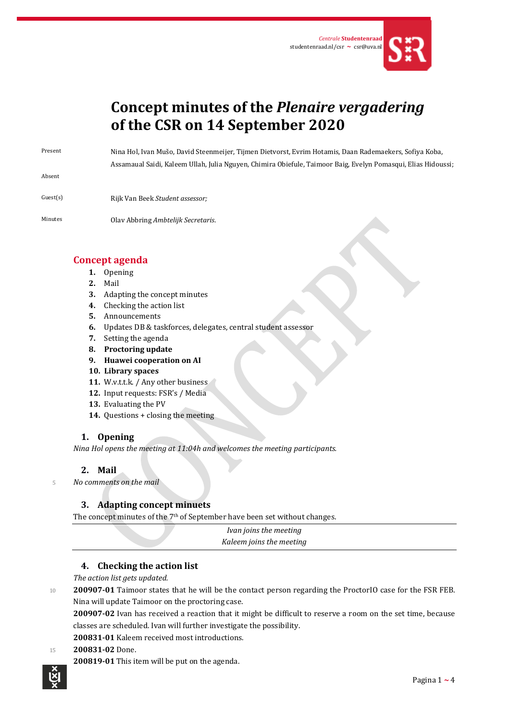

# **Concept minutes of the** *Plenaire vergadering* **of the CSR on 14 September 2020**

Absent

Present Nina Hol, Ivan Mušo, David Steenmeijer, Tijmen Dietvorst, Evrim Hotamis, Daan Rademaekers, Sofiya Koba, Assamaual Saidi, Kaleem Ullah, Julia Nguyen, Chimira Obiefule, Taimoor Baig, Evelyn Pomasqui, Elias Hidoussi;

- Guest(s) Rijk Van Beek *Student assessor;*
- Minutes Olav Abbring *Ambtelijk Secretaris*.

## **Concept agenda**

- **1.** Opening
- **2.** Mail
- **3.** Adapting the concept minutes
- **4.** Checking the action list
- **5.** Announcements
- **6.** Updates DB & taskforces, delegates, central student assessor
- **7.** Setting the agenda
- **8. Proctoring update**
- **9. Huawei cooperation on AI**
- **10. Library spaces**
- 11. W.v.t.t.k. / Any other business
- **12.** Input requests: FSR's / Media
- **13.** Evaluating the PV
- **14.** Questions + closing the meeting

## **1. Opening**

*Nina Hol opens the meeting at 11:04h and welcomes the meeting participants.* 

## **2. Mail**

<sup>5</sup> *No comments on the mail*

## **3. Adapting concept minuets**

The concept minutes of the 7<sup>th</sup> of September have been set without changes.

*Ivan joins the meeting Kaleem joins the meeting*

## **4. Checking the action list**

*The action list gets updated.*

<sup>10</sup> **200907-01** Taimoor states that he will be the contact person regarding the ProctorIO case for the FSR FEB. Nina will update Taimoor on the proctoring case.

**200907-02** Ivan has received a reaction that it might be difficult to reserve a room on the set time, because classes are scheduled. Ivan will further investigate the possibility.

## **200831-01** Kaleem received most introductions.

#### <sup>15</sup> **200831-02** Done.

**200819-01** This item will be put on the agenda.

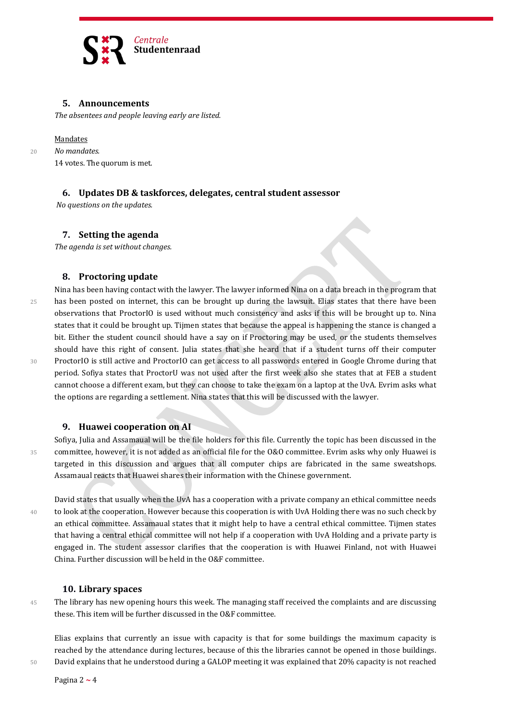

## **5. Announcements**

*The absentees and people leaving early are listed.*

#### Mandates

<sup>20</sup> *No mandates.*

14 votes. The quorum is met.

## **6. Updates DB & taskforces, delegates, central student assessor**

*No questions on the updates.*

#### **7. Setting the agenda**

*The agenda is set without changes.*

#### **8. Proctoring update**

Nina has been having contact with the lawyer. The lawyer informed Nina on a data breach in the program that 25 has been posted on internet, this can be brought up during the lawsuit. Elias states that there have been observations that ProctorIO is used without much consistency and asks if this will be brought up to. Nina states that it could be brought up. Tijmen states that because the appeal is happening the stance is changed a bit. Either the student council should have a say on if Proctoring may be used, or the students themselves should have this right of consent. Julia states that she heard that if a student turns off their computer 30 ProctorIO is still active and ProctorIO can get access to all passwords entered in Google Chrome during that period. Sofiya states that ProctorU was not used after the first week also she states that at FEB a student cannot choose a different exam, but they can choose to take the exam on a laptop at the UvA. Evrim asks what the options are regarding a settlement. Nina states that this will be discussed with the lawyer.

#### **9. Huawei cooperation on AI**

Sofiya, Julia and Assamaual will be the file holders for this file. Currently the topic has been discussed in the 35 committee, however, it is not added as an official file for the O&O committee. Evrim asks why only Huawei is targeted in this discussion and argues that all computer chips are fabricated in the same sweatshops. Assamaual reacts that Huawei shares their information with the Chinese government.

David states that usually when the UvA has a cooperation with a private company an ethical committee needs 40 to look at the cooperation. However because this cooperation is with UvA Holding there was no such check by an ethical committee. Assamaual states that it might help to have a central ethical committee. Tijmen states that having a central ethical committee will not help if a cooperation with UvA Holding and a private party is engaged in. The student assessor clarifies that the cooperation is with Huawei Finland, not with Huawei China. Further discussion will be held in the O&F committee.

#### **10. Library spaces**

45 The library has new opening hours this week. The managing staff received the complaints and are discussing these. This item will be further discussed in the O&F committee.

Elias explains that currently an issue with capacity is that for some buildings the maximum capacity is reached by the attendance during lectures, because of this the libraries cannot be opened in those buildings. 50 David explains that he understood during a GALOP meeting it was explained that 20% capacity is not reached

Pagina 2 **~** 4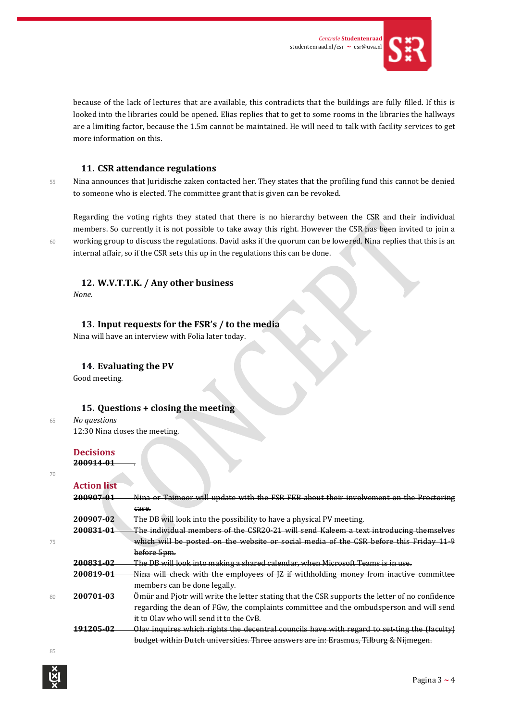

because of the lack of lectures that are available, this contradicts that the buildings are fully filled. If this is looked into the libraries could be opened. Elias replies that to get to some rooms in the libraries the hallways are a limiting factor, because the 1.5m cannot be maintained. He will need to talk with facility services to get more information on this.

## **11. CSR attendance regulations**

55 Nina announces that Juridische zaken contacted her. They states that the profiling fund this cannot be denied to someone who is elected. The committee grant that is given can be revoked.

Regarding the voting rights they stated that there is no hierarchy between the CSR and their individual members. So currently it is not possible to take away this right. However the CSR has been invited to join a 60 working group to discuss the regulations. David asks if the quorum can be lowered. Nina replies that this is an internal affair, so if the CSR sets this up in the regulations this can be done.

## **12. W.V.T.T.K. / Any other business**

*None.*

#### **13. Input requests for the FSR's / to the media**

Nina will have an interview with Folia later today.

#### **14. Evaluating the PV**

Good meeting.

#### **15. Questions + closing the meeting**

<sup>65</sup> *No questions* 12:30 Nina closes the meeting.

**Decisions**

**Action list**

**200914-01** .

| Ξ<br>۰. | ٠      |   |  |
|---------|--------|---|--|
|         |        |   |  |
|         | $\sim$ | I |  |
|         |        |   |  |
|         |        |   |  |

|    | Attivii Iist         |                                                                                                |
|----|----------------------|------------------------------------------------------------------------------------------------|
|    | <del>200907-01</del> | Nina or Taimoor will update with the FSR FEB about their involvement on the Proctoring         |
|    |                      | case.                                                                                          |
|    | 200907-02            | The DB will look into the possibility to have a physical PV meeting.                           |
|    | <del>200831-01</del> | The individual members of the CSR20-21 will send Kaleem a text introducing themselves          |
| 75 |                      | which will be posted on the website or social media of the CSR before this Friday 11-9         |
|    |                      | before 5pm.                                                                                    |
|    | 200831-02            | The DB will look into making a shared calendar, when Microsoft Teams is in use.                |
|    | 200819-01            | Nina will check with the employees of [Z if withholding money from inactive committee          |
|    |                      | members can be done legally.                                                                   |
| 80 | 200701-03            | Ömür and Pjotr will write the letter stating that the CSR supports the letter of no confidence |
|    |                      | regarding the dean of FGw, the complaints committee and the ombudsperson and will send         |
|    |                      | it to Olay who will send it to the CyB.                                                        |
|    | 191205-02            | Olav inquires which rights the decentral councils have with regard to set ting the (faculty)   |
|    |                      | budget within Dutch universities. Three answers are in: Erasmus, Tilburg & Nijmegen.           |
|    |                      |                                                                                                |